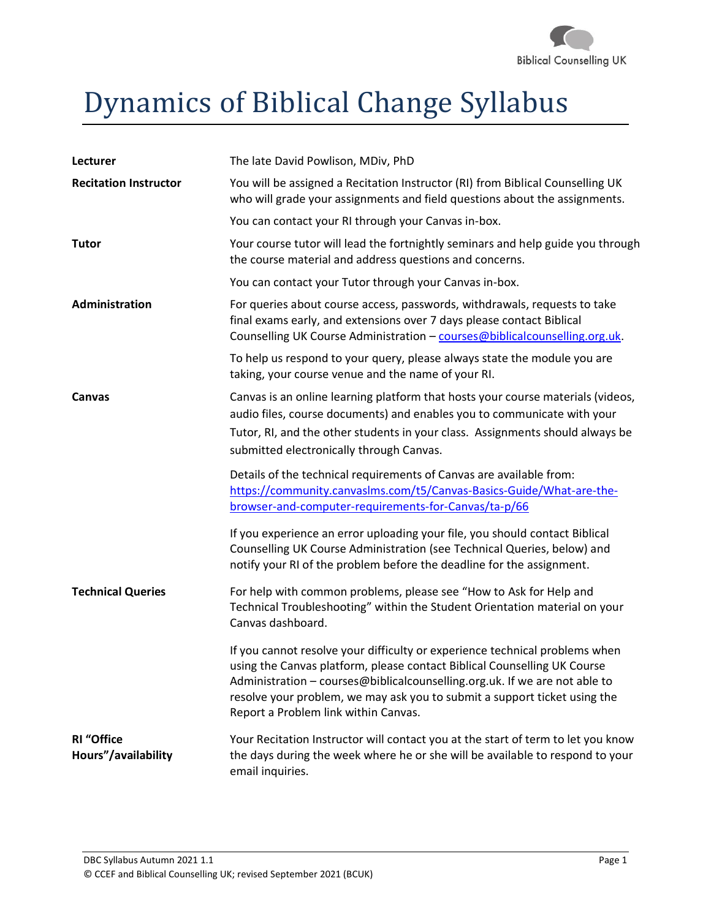

# Dynamics of Biblical Change Syllabus

| Lecturer                                 | The late David Powlison, MDiv, PhD                                                                                                                                                                                                                                                                                                                         |  |
|------------------------------------------|------------------------------------------------------------------------------------------------------------------------------------------------------------------------------------------------------------------------------------------------------------------------------------------------------------------------------------------------------------|--|
| <b>Recitation Instructor</b>             | You will be assigned a Recitation Instructor (RI) from Biblical Counselling UK<br>who will grade your assignments and field questions about the assignments.                                                                                                                                                                                               |  |
|                                          | You can contact your RI through your Canvas in-box.                                                                                                                                                                                                                                                                                                        |  |
| <b>Tutor</b>                             | Your course tutor will lead the fortnightly seminars and help guide you through<br>the course material and address questions and concerns.                                                                                                                                                                                                                 |  |
|                                          | You can contact your Tutor through your Canvas in-box.                                                                                                                                                                                                                                                                                                     |  |
| Administration                           | For queries about course access, passwords, withdrawals, requests to take<br>final exams early, and extensions over 7 days please contact Biblical<br>Counselling UK Course Administration - courses@biblicalcounselling.org.uk.                                                                                                                           |  |
|                                          | To help us respond to your query, please always state the module you are<br>taking, your course venue and the name of your RI.                                                                                                                                                                                                                             |  |
| Canvas                                   | Canvas is an online learning platform that hosts your course materials (videos,<br>audio files, course documents) and enables you to communicate with your<br>Tutor, RI, and the other students in your class. Assignments should always be<br>submitted electronically through Canvas.                                                                    |  |
|                                          | Details of the technical requirements of Canvas are available from:<br>https://community.canvaslms.com/t5/Canvas-Basics-Guide/What-are-the-<br>browser-and-computer-requirements-for-Canvas/ta-p/66                                                                                                                                                        |  |
|                                          | If you experience an error uploading your file, you should contact Biblical<br>Counselling UK Course Administration (see Technical Queries, below) and<br>notify your RI of the problem before the deadline for the assignment.                                                                                                                            |  |
| <b>Technical Queries</b>                 | For help with common problems, please see "How to Ask for Help and<br>Technical Troubleshooting" within the Student Orientation material on your<br>Canvas dashboard.                                                                                                                                                                                      |  |
|                                          | If you cannot resolve your difficulty or experience technical problems when<br>using the Canvas platform, please contact Biblical Counselling UK Course<br>Administration - courses@biblicalcounselling.org.uk. If we are not able to<br>resolve your problem, we may ask you to submit a support ticket using the<br>Report a Problem link within Canvas. |  |
| <b>RI</b> "Office<br>Hours"/availability | Your Recitation Instructor will contact you at the start of term to let you know<br>the days during the week where he or she will be available to respond to your<br>email inquiries.                                                                                                                                                                      |  |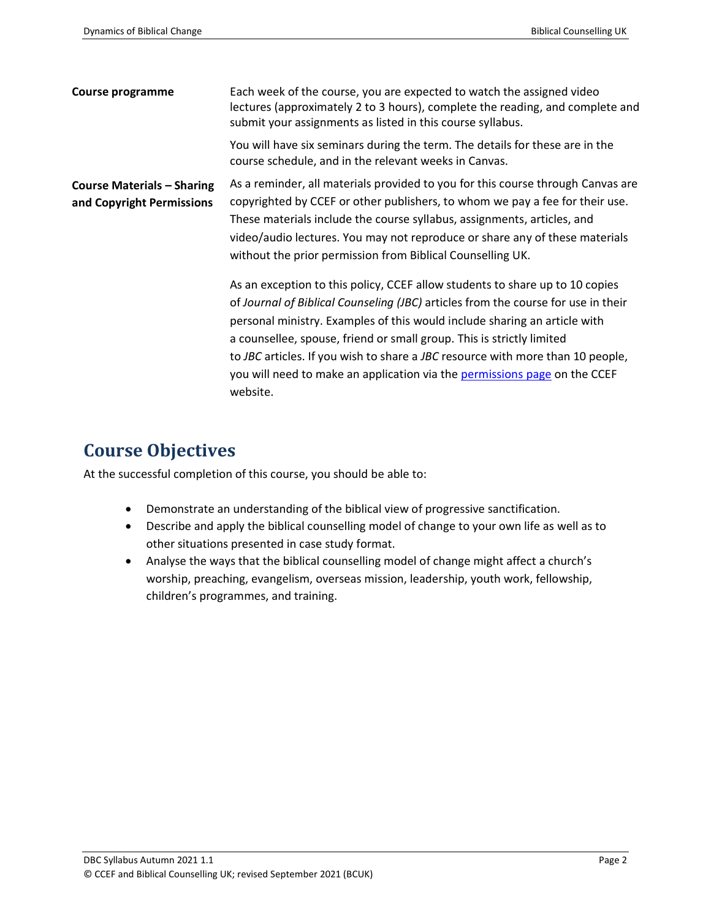| <b>Course programme</b>                                        | Each week of the course, you are expected to watch the assigned video<br>lectures (approximately 2 to 3 hours), complete the reading, and complete and<br>submit your assignments as listed in this course syllabus.                                                                                                                                                                                                                                                                               |  |
|----------------------------------------------------------------|----------------------------------------------------------------------------------------------------------------------------------------------------------------------------------------------------------------------------------------------------------------------------------------------------------------------------------------------------------------------------------------------------------------------------------------------------------------------------------------------------|--|
|                                                                | You will have six seminars during the term. The details for these are in the<br>course schedule, and in the relevant weeks in Canvas.                                                                                                                                                                                                                                                                                                                                                              |  |
| <b>Course Materials - Sharing</b><br>and Copyright Permissions | As a reminder, all materials provided to you for this course through Canvas are<br>copyrighted by CCEF or other publishers, to whom we pay a fee for their use.<br>These materials include the course syllabus, assignments, articles, and<br>video/audio lectures. You may not reproduce or share any of these materials<br>without the prior permission from Biblical Counselling UK.                                                                                                            |  |
|                                                                | As an exception to this policy, CCEF allow students to share up to 10 copies<br>of Journal of Biblical Counseling (JBC) articles from the course for use in their<br>personal ministry. Examples of this would include sharing an article with<br>a counsellee, spouse, friend or small group. This is strictly limited<br>to JBC articles. If you wish to share a JBC resource with more than 10 people,<br>you will need to make an application via the permissions page on the CCEF<br>website. |  |

## **Course Objectives**

At the successful completion of this course, you should be able to:

- Demonstrate an understanding of the biblical view of progressive sanctification.
- Describe and apply the biblical counselling model of change to your own life as well as to other situations presented in case study format.
- Analyse the ways that the biblical counselling model of change might affect a church's worship, preaching, evangelism, overseas mission, leadership, youth work, fellowship, children's programmes, and training.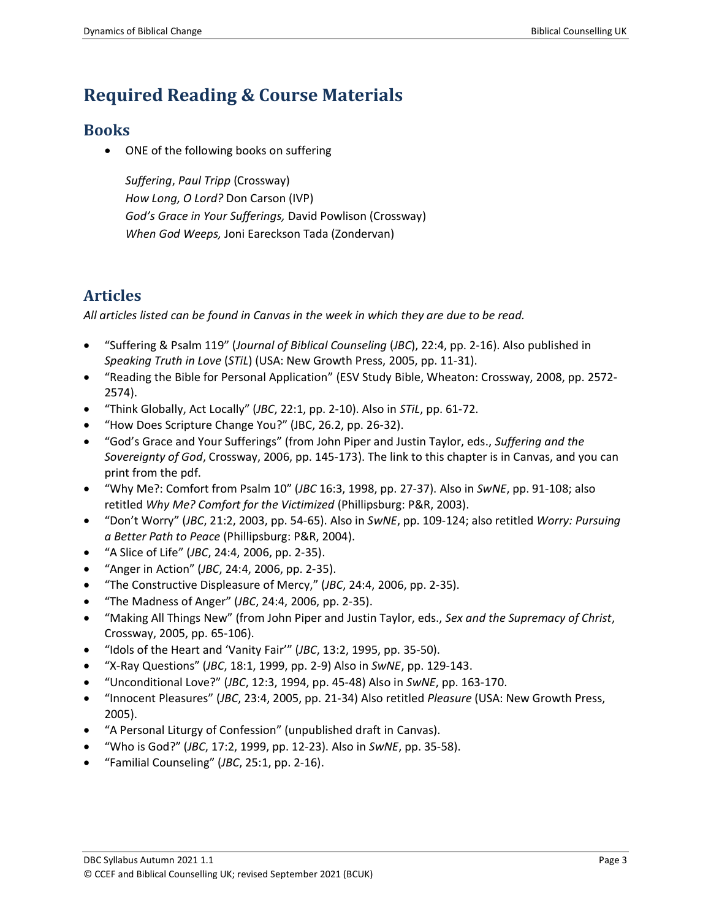# **Required Reading & Course Materials**

#### **Books**

• ONE of the following books on suffering

*Suffering*, *Paul Tripp* (Crossway) *How Long, O Lord?* Don Carson (IVP) *God's Grace in Your Sufferings,* David Powlison (Crossway) *When God Weeps,* Joni Eareckson Tada (Zondervan)

### **Articles**

*All articles listed can be found in Canvas in the week in which they are due to be read.* 

- "Suffering & Psalm 119" (*Journal of Biblical Counseling* (*JBC*), 22:4, pp. 2-16). Also published in *Speaking Truth in Love* (*STiL*) (USA: New Growth Press, 2005, pp. 11-31).
- "Reading the Bible for Personal Application" (ESV Study Bible, Wheaton: Crossway, 2008, pp. 2572- 2574).
- "Think Globally, Act Locally" (*JBC*, 22:1, pp. 2-10). Also in *STiL*, pp. 61-72.
- "How Does Scripture Change You?" (JBC, 26.2, pp. 26-32).
- "God's Grace and Your Sufferings" (from John Piper and Justin Taylor, eds., *Suffering and the Sovereignty of God*, Crossway, 2006, pp. 145-173). The link to this chapter is in Canvas, and you can print from the pdf.
- "Why Me?: Comfort from Psalm 10" (*JBC* 16:3, 1998, pp. 27-37). Also in *SwNE*, pp. 91-108; also retitled *Why Me? Comfort for the Victimized* (Phillipsburg: P&R, 2003).
- "Don't Worry" (*JBC*, 21:2, 2003, pp. 54-65). Also in *SwNE*, pp. 109-124; also retitled *Worry: Pursuing a Better Path to Peace* (Phillipsburg: P&R, 2004).
- "A Slice of Life" (*JBC*, 24:4, 2006, pp. 2-35).
- "Anger in Action" (*JBC*, 24:4, 2006, pp. 2-35).
- "The Constructive Displeasure of Mercy," (*JBC*, 24:4, 2006, pp. 2-35).
- "The Madness of Anger" (*JBC*, 24:4, 2006, pp. 2-35).
- "Making All Things New" (from John Piper and Justin Taylor, eds., *Sex and the Supremacy of Christ*, Crossway, 2005, pp. 65-106).
- "Idols of the Heart and 'Vanity Fair'" (*JBC*, 13:2, 1995, pp. 35-50).
- "X-Ray Questions" (*JBC*, 18:1, 1999, pp. 2-9) Also in *SwNE*, pp. 129-143.
- "Unconditional Love?" (*JBC*, 12:3, 1994, pp. 45-48) Also in *SwNE*, pp. 163-170.
- "Innocent Pleasures" (*JBC*, 23:4, 2005, pp. 21-34) Also retitled *Pleasure* (USA: New Growth Press, 2005).
- "A Personal Liturgy of Confession" (unpublished draft in Canvas).
- "Who is God?" (*JBC*, 17:2, 1999, pp. 12-23). Also in *SwNE*, pp. 35-58).
- "Familial Counseling" (*JBC*, 25:1, pp. 2-16).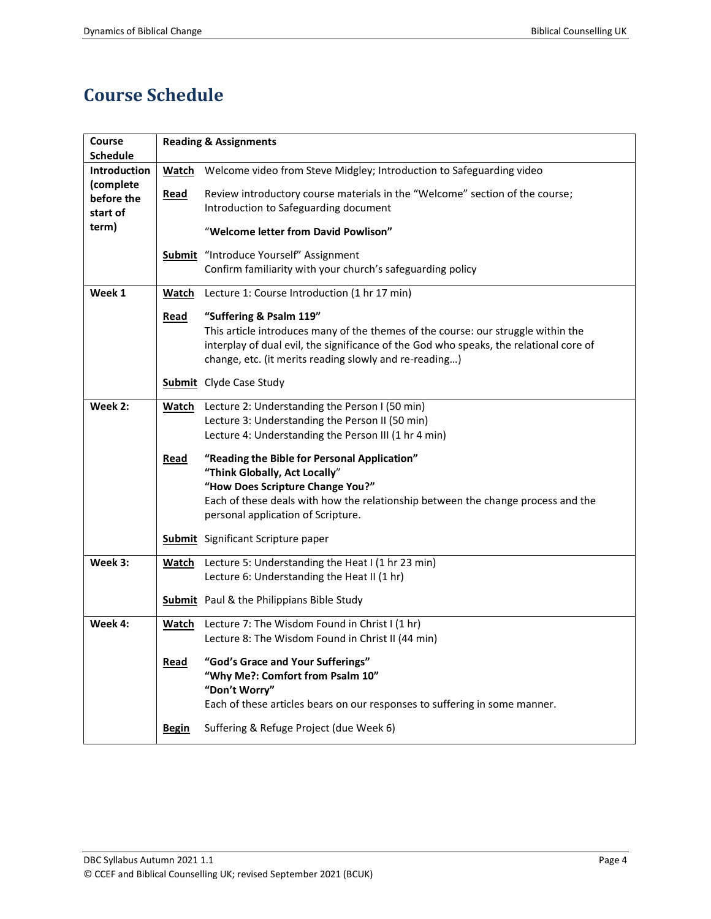# **Course Schedule**

| Course              | <b>Reading &amp; Assignments</b> |                                                                                                     |  |  |
|---------------------|----------------------------------|-----------------------------------------------------------------------------------------------------|--|--|
| Schedule            |                                  |                                                                                                     |  |  |
| <b>Introduction</b> | <b>Watch</b>                     | Welcome video from Steve Midgley; Introduction to Safeguarding video                                |  |  |
| (complete           |                                  |                                                                                                     |  |  |
| before the          | Read                             | Review introductory course materials in the "Welcome" section of the course;                        |  |  |
| start of            |                                  | Introduction to Safeguarding document                                                               |  |  |
| term)               |                                  | "Welcome letter from David Powlison"                                                                |  |  |
|                     |                                  | Submit "Introduce Yourself" Assignment                                                              |  |  |
|                     |                                  | Confirm familiarity with your church's safeguarding policy                                          |  |  |
| Week 1              | Watch                            | Lecture 1: Course Introduction (1 hr 17 min)                                                        |  |  |
|                     | Read                             | "Suffering & Psalm 119"                                                                             |  |  |
|                     |                                  | This article introduces many of the themes of the course: our struggle within the                   |  |  |
|                     |                                  | interplay of dual evil, the significance of the God who speaks, the relational core of              |  |  |
|                     |                                  | change, etc. (it merits reading slowly and re-reading)                                              |  |  |
|                     |                                  | <b>Submit</b> Clyde Case Study                                                                      |  |  |
|                     |                                  |                                                                                                     |  |  |
| Week 2:             | Watch                            | Lecture 2: Understanding the Person I (50 min)                                                      |  |  |
|                     |                                  | Lecture 3: Understanding the Person II (50 min)                                                     |  |  |
|                     |                                  | Lecture 4: Understanding the Person III (1 hr 4 min)                                                |  |  |
|                     | Read                             | "Reading the Bible for Personal Application"                                                        |  |  |
|                     |                                  | "Think Globally, Act Locally"                                                                       |  |  |
|                     |                                  | "How Does Scripture Change You?"                                                                    |  |  |
|                     |                                  | Each of these deals with how the relationship between the change process and the                    |  |  |
|                     |                                  | personal application of Scripture.                                                                  |  |  |
|                     |                                  |                                                                                                     |  |  |
|                     |                                  | Submit Significant Scripture paper                                                                  |  |  |
| Week 3:             | <u>Watch</u>                     | Lecture 5: Understanding the Heat I (1 hr 23 min)                                                   |  |  |
|                     |                                  | Lecture 6: Understanding the Heat II (1 hr)                                                         |  |  |
|                     |                                  | <b>Submit</b> Paul & the Philippians Bible Study                                                    |  |  |
| Week 4:             |                                  |                                                                                                     |  |  |
|                     | <b>Watch</b>                     | Lecture 7: The Wisdom Found in Christ I (1 hr)<br>Lecture 8: The Wisdom Found in Christ II (44 min) |  |  |
|                     |                                  |                                                                                                     |  |  |
|                     | <b>Read</b>                      | "God's Grace and Your Sufferings"                                                                   |  |  |
|                     |                                  | "Why Me?: Comfort from Psalm 10"                                                                    |  |  |
|                     |                                  | "Don't Worry"                                                                                       |  |  |
|                     |                                  | Each of these articles bears on our responses to suffering in some manner.                          |  |  |
|                     | <b>Begin</b>                     | Suffering & Refuge Project (due Week 6)                                                             |  |  |
|                     |                                  |                                                                                                     |  |  |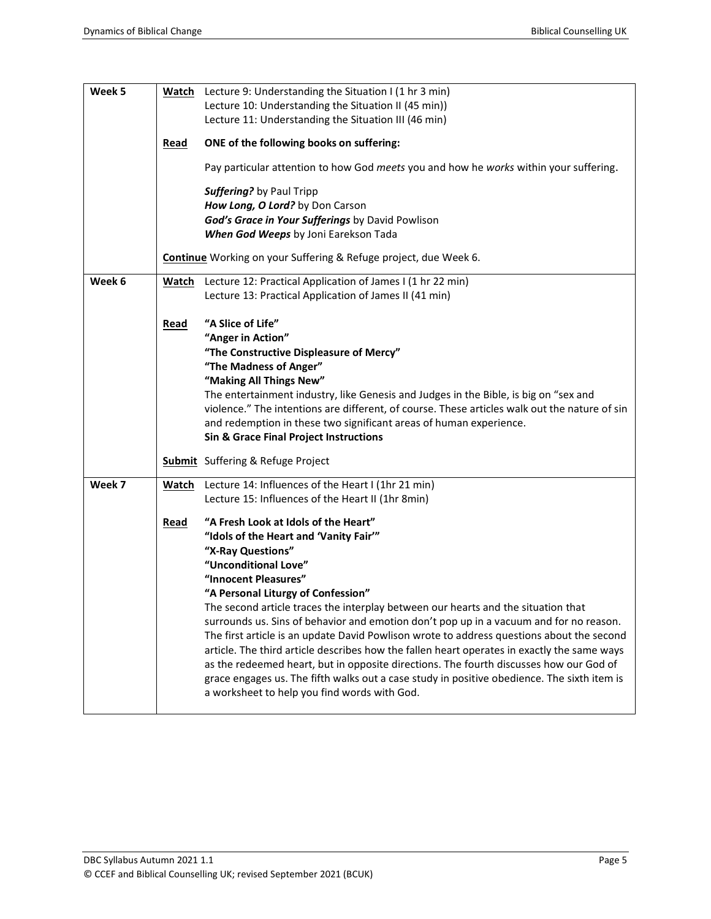| Week 5 |              | Watch Lecture 9: Understanding the Situation I (1 hr 3 min)                                   |  |  |  |
|--------|--------------|-----------------------------------------------------------------------------------------------|--|--|--|
|        |              | Lecture 10: Understanding the Situation II (45 min))                                          |  |  |  |
|        |              | Lecture 11: Understanding the Situation III (46 min)                                          |  |  |  |
|        |              |                                                                                               |  |  |  |
|        | Read         | ONE of the following books on suffering:                                                      |  |  |  |
|        |              | Pay particular attention to how God meets you and how he works within your suffering.         |  |  |  |
|        |              | Suffering? by Paul Tripp                                                                      |  |  |  |
|        |              | How Long, O Lord? by Don Carson                                                               |  |  |  |
|        |              | God's Grace in Your Sufferings by David Powlison                                              |  |  |  |
|        |              | When God Weeps by Joni Earekson Tada                                                          |  |  |  |
|        |              | Continue Working on your Suffering & Refuge project, due Week 6.                              |  |  |  |
| Week 6 | Watch        | Lecture 12: Practical Application of James I (1 hr 22 min)                                    |  |  |  |
|        |              | Lecture 13: Practical Application of James II (41 min)                                        |  |  |  |
|        |              |                                                                                               |  |  |  |
|        | <b>Read</b>  | "A Slice of Life"                                                                             |  |  |  |
|        |              | "Anger in Action"                                                                             |  |  |  |
|        |              | "The Constructive Displeasure of Mercy"                                                       |  |  |  |
|        |              | "The Madness of Anger"                                                                        |  |  |  |
|        |              | "Making All Things New"                                                                       |  |  |  |
|        |              | The entertainment industry, like Genesis and Judges in the Bible, is big on "sex and          |  |  |  |
|        |              | violence." The intentions are different, of course. These articles walk out the nature of sin |  |  |  |
|        |              | and redemption in these two significant areas of human experience.                            |  |  |  |
|        |              | <b>Sin &amp; Grace Final Project Instructions</b>                                             |  |  |  |
|        |              | <b>Submit</b> Suffering & Refuge Project                                                      |  |  |  |
| Week 7 | <u>Watch</u> | Lecture 14: Influences of the Heart I (1hr 21 min)                                            |  |  |  |
|        |              | Lecture 15: Influences of the Heart II (1hr 8min)                                             |  |  |  |
|        | Read         | "A Fresh Look at Idols of the Heart"                                                          |  |  |  |
|        |              | "Idols of the Heart and 'Vanity Fair'"                                                        |  |  |  |
|        |              | "X-Ray Questions"                                                                             |  |  |  |
|        |              | "Unconditional Love"                                                                          |  |  |  |
|        |              | "Innocent Pleasures"                                                                          |  |  |  |
|        |              | "A Personal Liturgy of Confession"                                                            |  |  |  |
|        |              | The second article traces the interplay between our hearts and the situation that             |  |  |  |
|        |              | surrounds us. Sins of behavior and emotion don't pop up in a vacuum and for no reason.        |  |  |  |
|        |              | The first article is an update David Powlison wrote to address questions about the second     |  |  |  |
|        |              | article. The third article describes how the fallen heart operates in exactly the same ways   |  |  |  |
|        |              | as the redeemed heart, but in opposite directions. The fourth discusses how our God of        |  |  |  |
|        |              | grace engages us. The fifth walks out a case study in positive obedience. The sixth item is   |  |  |  |
|        |              | a worksheet to help you find words with God.                                                  |  |  |  |
|        |              |                                                                                               |  |  |  |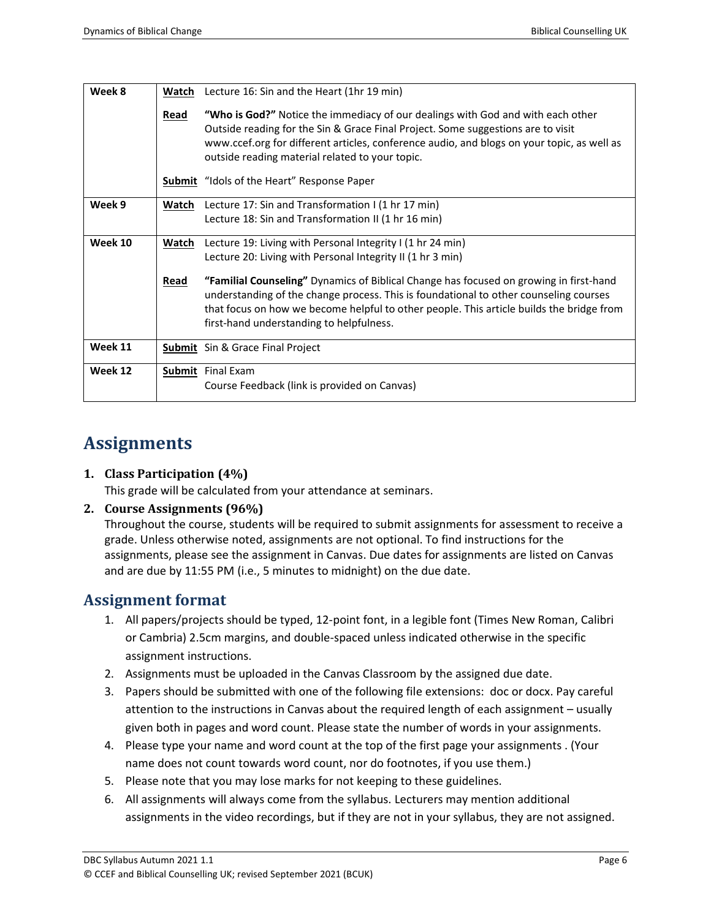| Week 8  | Watch | Lecture 16: Sin and the Heart (1hr 19 min)                                                                                                                                                                                                                                                                              |
|---------|-------|-------------------------------------------------------------------------------------------------------------------------------------------------------------------------------------------------------------------------------------------------------------------------------------------------------------------------|
|         | Read  | "Who is God?" Notice the immediacy of our dealings with God and with each other<br>Outside reading for the Sin & Grace Final Project. Some suggestions are to visit<br>www.ccef.org for different articles, conference audio, and blogs on your topic, as well as<br>outside reading material related to your topic.    |
|         |       | <b>Submit</b> "Idols of the Heart" Response Paper                                                                                                                                                                                                                                                                       |
| Week 9  | Watch | Lecture 17: Sin and Transformation I (1 hr 17 min)                                                                                                                                                                                                                                                                      |
|         |       | Lecture 18: Sin and Transformation II (1 hr 16 min)                                                                                                                                                                                                                                                                     |
| Week 10 | Watch | Lecture 19: Living with Personal Integrity I (1 hr 24 min)                                                                                                                                                                                                                                                              |
|         |       | Lecture 20: Living with Personal Integrity II (1 hr 3 min)                                                                                                                                                                                                                                                              |
|         | Read  | "Familial Counseling" Dynamics of Biblical Change has focused on growing in first-hand<br>understanding of the change process. This is foundational to other counseling courses<br>that focus on how we become helpful to other people. This article builds the bridge from<br>first-hand understanding to helpfulness. |
| Week 11 |       | <b>Submit</b> Sin & Grace Final Project                                                                                                                                                                                                                                                                                 |
| Week 12 |       | Submit Final Exam                                                                                                                                                                                                                                                                                                       |
|         |       | Course Feedback (link is provided on Canvas)                                                                                                                                                                                                                                                                            |

## **Assignments**

#### **1. Class Participation (4%)**

This grade will be calculated from your attendance at seminars.

#### **2. Course Assignments (96%)**

Throughout the course, students will be required to submit assignments for assessment to receive a grade. Unless otherwise noted, assignments are not optional. To find instructions for the assignments, please see the assignment in Canvas. Due dates for assignments are listed on Canvas and are due by 11:55 PM (i.e., 5 minutes to midnight) on the due date.

#### **Assignment format**

- 1. All papers/projects should be typed, 12-point font, in a legible font (Times New Roman, Calibri or Cambria) 2.5cm margins, and double-spaced unless indicated otherwise in the specific assignment instructions.
- 2. Assignments must be uploaded in the Canvas Classroom by the assigned due date.
- 3. Papers should be submitted with one of the following file extensions: doc or docx. Pay careful attention to the instructions in Canvas about the required length of each assignment – usually given both in pages and word count. Please state the number of words in your assignments.
- 4. Please type your name and word count at the top of the first page your assignments . (Your name does not count towards word count, nor do footnotes, if you use them.)
- 5. Please note that you may lose marks for not keeping to these guidelines.
- 6. All assignments will always come from the syllabus. Lecturers may mention additional assignments in the video recordings, but if they are not in your syllabus, they are not assigned.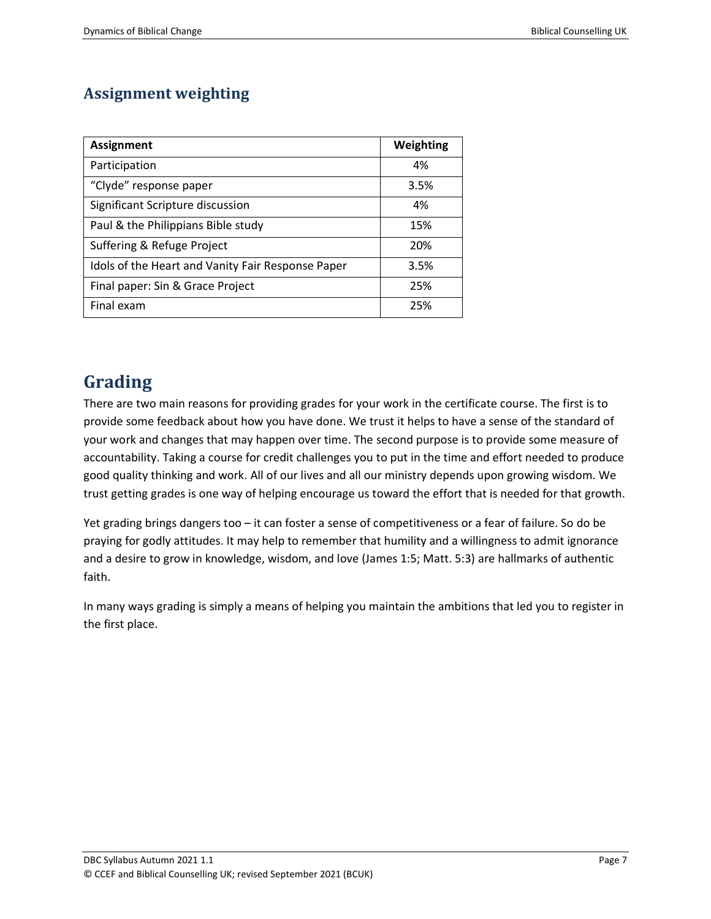## **Assignment weighting**

| <b>Assignment</b>                                 | Weighting |
|---------------------------------------------------|-----------|
| Participation                                     | 4%        |
| "Clyde" response paper                            | 3.5%      |
| Significant Scripture discussion                  | 4%        |
| Paul & the Philippians Bible study                | 15%       |
| Suffering & Refuge Project                        | 20%       |
| Idols of the Heart and Vanity Fair Response Paper | 3.5%      |
| Final paper: Sin & Grace Project                  | 25%       |
| Final exam                                        | 25%       |

# **Grading**

There are two main reasons for providing grades for your work in the certificate course. The first is to provide some feedback about how you have done. We trust it helps to have a sense of the standard of your work and changes that may happen over time. The second purpose is to provide some measure of accountability. Taking a course for credit challenges you to put in the time and effort needed to produce good quality thinking and work. All of our lives and all our ministry depends upon growing wisdom. We trust getting grades is one way of helping encourage us toward the effort that is needed for that growth.

Yet grading brings dangers too – it can foster a sense of competitiveness or a fear of failure. So do be praying for godly attitudes. It may help to remember that humility and a willingness to admit ignorance and a desire to grow in knowledge, wisdom, and love (James 1:5; Matt. 5:3) are hallmarks of authentic faith.

In many ways grading is simply a means of helping you maintain the ambitions that led you to register in the first place.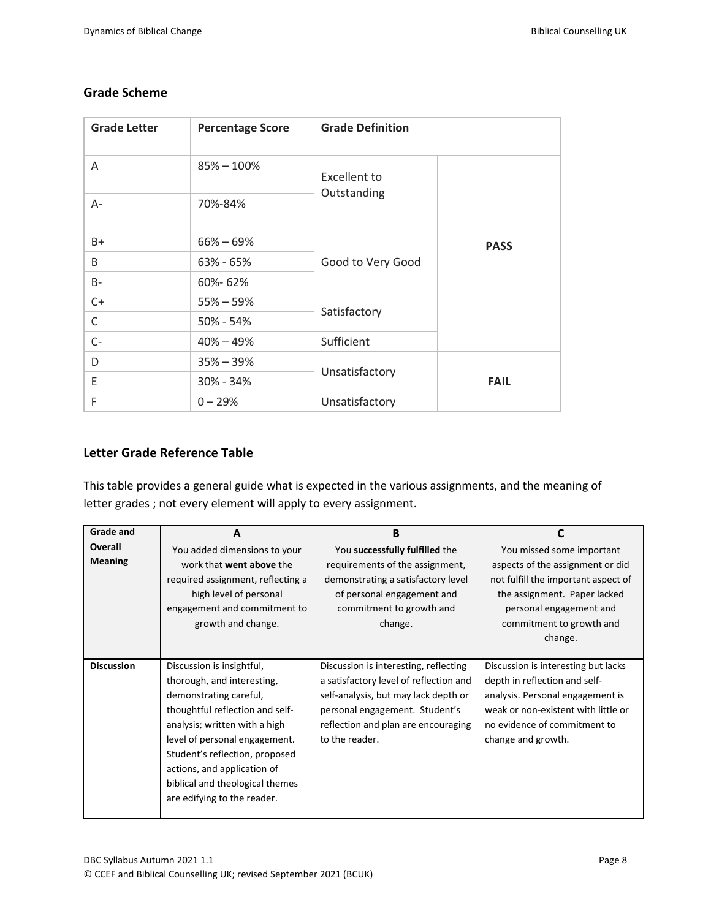| <b>Grade Letter</b> | <b>Percentage Score</b> | <b>Grade Definition</b>                         |             |
|---------------------|-------------------------|-------------------------------------------------|-------------|
| A                   | $85\% - 100\%$          | Excellent to<br>Outstanding                     |             |
| A-                  | 70%-84%                 |                                                 |             |
| B+                  | $66\% - 69\%$           | Good to Very Good                               | <b>PASS</b> |
| B                   | 63% - 65%               |                                                 |             |
| B-                  | 60%-62%                 |                                                 |             |
| $C+$                | $55\% - 59\%$           | Satisfactory                                    |             |
| C                   | 50% - 54%               |                                                 |             |
| $C-$                | $40\% - 49\%$           | Sufficient                                      |             |
| D                   | $35\% - 39\%$           | Unsatisfactory<br><b>FAIL</b><br>Unsatisfactory |             |
| Ε                   | 30% - 34%               |                                                 |             |
| F                   | $0 - 29%$               |                                                 |             |

#### **Grade Scheme**

#### **Letter Grade Reference Table**

This table provides a general guide what is expected in the various assignments, and the meaning of letter grades ; not every element will apply to every assignment.

| Grade and         | A                                                                                                                                                                                                                                                                                                                         | <b>B</b>                                                                                                                                                                                                           | C                                                                                                                                                                                                     |
|-------------------|---------------------------------------------------------------------------------------------------------------------------------------------------------------------------------------------------------------------------------------------------------------------------------------------------------------------------|--------------------------------------------------------------------------------------------------------------------------------------------------------------------------------------------------------------------|-------------------------------------------------------------------------------------------------------------------------------------------------------------------------------------------------------|
| Overall           | You added dimensions to your                                                                                                                                                                                                                                                                                              | You successfully fulfilled the                                                                                                                                                                                     | You missed some important                                                                                                                                                                             |
| <b>Meaning</b>    | work that went above the<br>required assignment, reflecting a<br>high level of personal<br>engagement and commitment to<br>growth and change.                                                                                                                                                                             | requirements of the assignment,<br>demonstrating a satisfactory level<br>of personal engagement and<br>commitment to growth and<br>change.                                                                         | aspects of the assignment or did<br>not fulfill the important aspect of<br>the assignment. Paper lacked<br>personal engagement and<br>commitment to growth and<br>change.                             |
| <b>Discussion</b> | Discussion is insightful,<br>thorough, and interesting,<br>demonstrating careful,<br>thoughtful reflection and self-<br>analysis; written with a high<br>level of personal engagement.<br>Student's reflection, proposed<br>actions, and application of<br>biblical and theological themes<br>are edifying to the reader. | Discussion is interesting, reflecting<br>a satisfactory level of reflection and<br>self-analysis, but may lack depth or<br>personal engagement. Student's<br>reflection and plan are encouraging<br>to the reader. | Discussion is interesting but lacks<br>depth in reflection and self-<br>analysis. Personal engagement is<br>weak or non-existent with little or<br>no evidence of commitment to<br>change and growth. |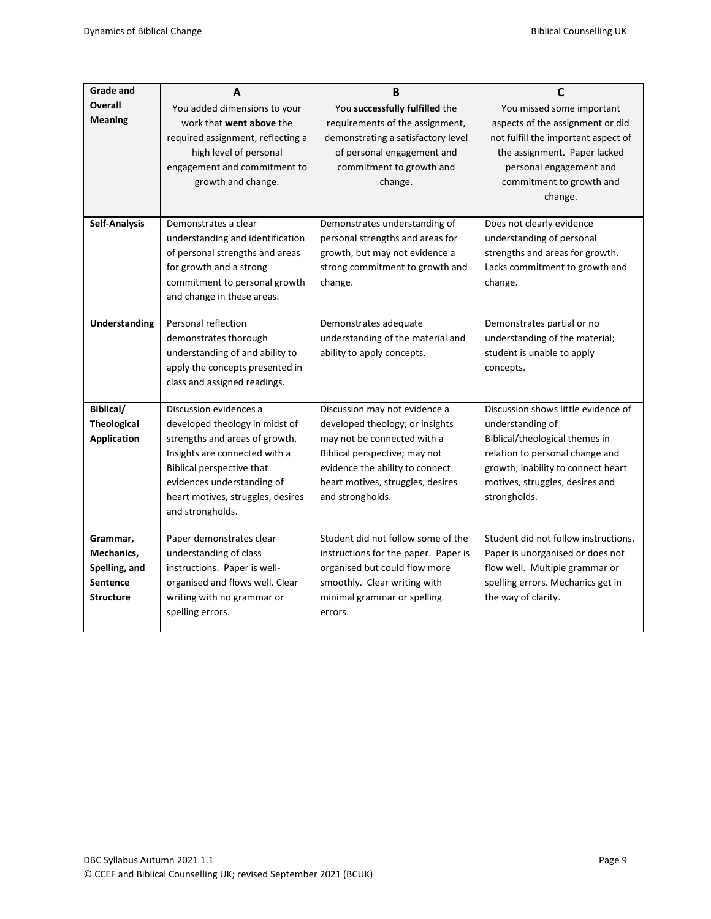| <b>Grade and</b>                                                               | A                                                                                                                                                                                                                                               | B                                                                                                                                                                                                                            | C                                                                                                                                                                                                                     |
|--------------------------------------------------------------------------------|-------------------------------------------------------------------------------------------------------------------------------------------------------------------------------------------------------------------------------------------------|------------------------------------------------------------------------------------------------------------------------------------------------------------------------------------------------------------------------------|-----------------------------------------------------------------------------------------------------------------------------------------------------------------------------------------------------------------------|
| <b>Overall</b><br><b>Meaning</b>                                               | You added dimensions to your<br>work that went above the<br>required assignment, reflecting a<br>high level of personal<br>engagement and commitment to<br>growth and change.                                                                   | You successfully fulfilled the<br>requirements of the assignment,<br>demonstrating a satisfactory level<br>of personal engagement and<br>commitment to growth and<br>change.                                                 | You missed some important<br>aspects of the assignment or did<br>not fulfill the important aspect of<br>the assignment. Paper lacked<br>personal engagement and<br>commitment to growth and<br>change.                |
| <b>Self-Analysis</b>                                                           | Demonstrates a clear<br>understanding and identification<br>of personal strengths and areas<br>for growth and a strong<br>commitment to personal growth<br>and change in these areas.                                                           | Demonstrates understanding of<br>personal strengths and areas for<br>growth, but may not evidence a<br>strong commitment to growth and<br>change.                                                                            | Does not clearly evidence<br>understanding of personal<br>strengths and areas for growth.<br>Lacks commitment to growth and<br>change.                                                                                |
| <b>Understanding</b>                                                           | Personal reflection<br>demonstrates thorough<br>understanding of and ability to<br>apply the concepts presented in<br>class and assigned readings.                                                                                              | Demonstrates adequate<br>understanding of the material and<br>ability to apply concepts.                                                                                                                                     | Demonstrates partial or no<br>understanding of the material;<br>student is unable to apply<br>concepts.                                                                                                               |
| Biblical/<br><b>Theological</b><br><b>Application</b>                          | Discussion evidences a<br>developed theology in midst of<br>strengths and areas of growth.<br>Insights are connected with a<br>Biblical perspective that<br>evidences understanding of<br>heart motives, struggles, desires<br>and strongholds. | Discussion may not evidence a<br>developed theology; or insights<br>may not be connected with a<br>Biblical perspective; may not<br>evidence the ability to connect<br>heart motives, struggles, desires<br>and strongholds. | Discussion shows little evidence of<br>understanding of<br>Biblical/theological themes in<br>relation to personal change and<br>growth; inability to connect heart<br>motives, struggles, desires and<br>strongholds. |
| Grammar,<br>Mechanics,<br>Spelling, and<br><b>Sentence</b><br><b>Structure</b> | Paper demonstrates clear<br>understanding of class<br>instructions. Paper is well-<br>organised and flows well. Clear<br>writing with no grammar or<br>spelling errors.                                                                         | Student did not follow some of the<br>instructions for the paper. Paper is<br>organised but could flow more<br>smoothly. Clear writing with<br>minimal grammar or spelling<br>errors.                                        | Student did not follow instructions.<br>Paper is unorganised or does not<br>flow well. Multiple grammar or<br>spelling errors. Mechanics get in<br>the way of clarity.                                                |